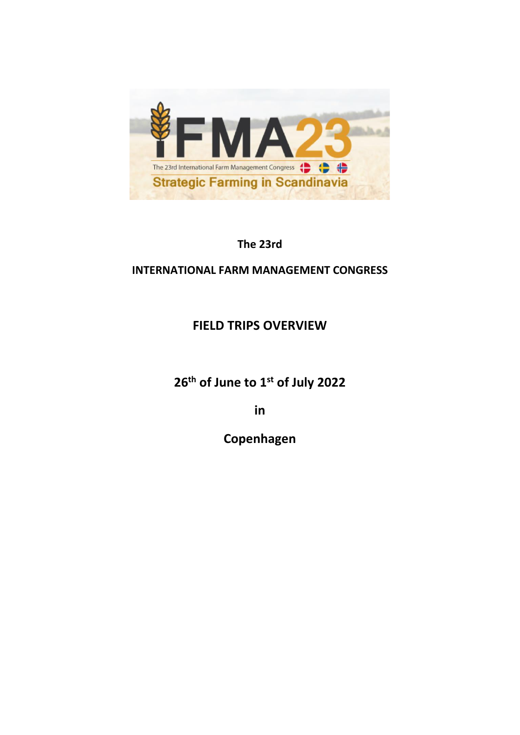

**The 23rd** 

## **INTERNATIONAL FARM MANAGEMENT CONGRESS**

# **FIELD TRIPS OVERVIEW**

**26th of June to 1st of July 2022**

**in** 

**Copenhagen**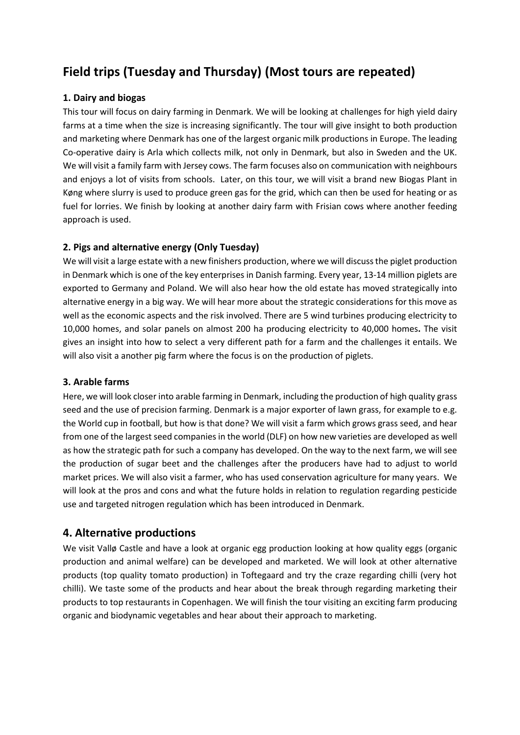# **Field trips (Tuesday and Thursday) (Most tours are repeated)**

#### **1. Dairy and biogas**

This tour will focus on dairy farming in Denmark. We will be looking at challenges for high yield dairy farms at a time when the size is increasing significantly. The tour will give insight to both production and marketing where Denmark has one of the largest organic milk productions in Europe. The leading Co-operative dairy is Arla which collects milk, not only in Denmark, but also in Sweden and the UK. We will visit a family farm with Jersey cows. The farm focuses also on communication with neighbours and enjoys a lot of visits from schools. Later, on this tour, we will visit a brand new Biogas Plant in Køng where slurry is used to produce green gas for the grid, which can then be used for heating or as fuel for lorries. We finish by looking at another dairy farm with Frisian cows where another feeding approach is used.

#### **2. Pigs and alternative energy (Only Tuesday)**

We will visit a large estate with a new finishers production, where we will discuss the piglet production in Denmark which is one of the key enterprises in Danish farming. Every year, 13-14 million piglets are exported to Germany and Poland. We will also hear how the old estate has moved strategically into alternative energy in a big way. We will hear more about the strategic considerations for this move as well as the economic aspects and the risk involved. There are 5 wind turbines producing electricity to 10,000 homes, and solar panels on almost 200 ha producing electricity to 40,000 homes**.** The visit gives an insight into how to select a very different path for a farm and the challenges it entails. We will also visit a another pig farm where the focus is on the production of piglets.

#### **3. Arable farms**

Here, we will look closer into arable farming in Denmark, including the production of high quality grass seed and the use of precision farming. Denmark is a major exporter of lawn grass, for example to e.g. the World cup in football, but how is that done? We will visit a farm which grows grass seed, and hear from one of the largest seed companies in the world (DLF) on how new varieties are developed as well as how the strategic path for such a company has developed. On the way to the next farm, we will see the production of sugar beet and the challenges after the producers have had to adjust to world market prices. We will also visit a farmer, who has used conservation agriculture for many years. We will look at the pros and cons and what the future holds in relation to regulation regarding pesticide use and targeted nitrogen regulation which has been introduced in Denmark.

#### **4. Alternative productions**

We visit Vallø Castle and have a look at organic egg production looking at how quality eggs (organic production and animal welfare) can be developed and marketed. We will look at other alternative products (top quality tomato production) in Toftegaard and try the craze regarding chilli (very hot chilli). We taste some of the products and hear about the break through regarding marketing their products to top restaurants in Copenhagen. We will finish the tour visiting an exciting farm producing organic and biodynamic vegetables and hear about their approach to marketing.